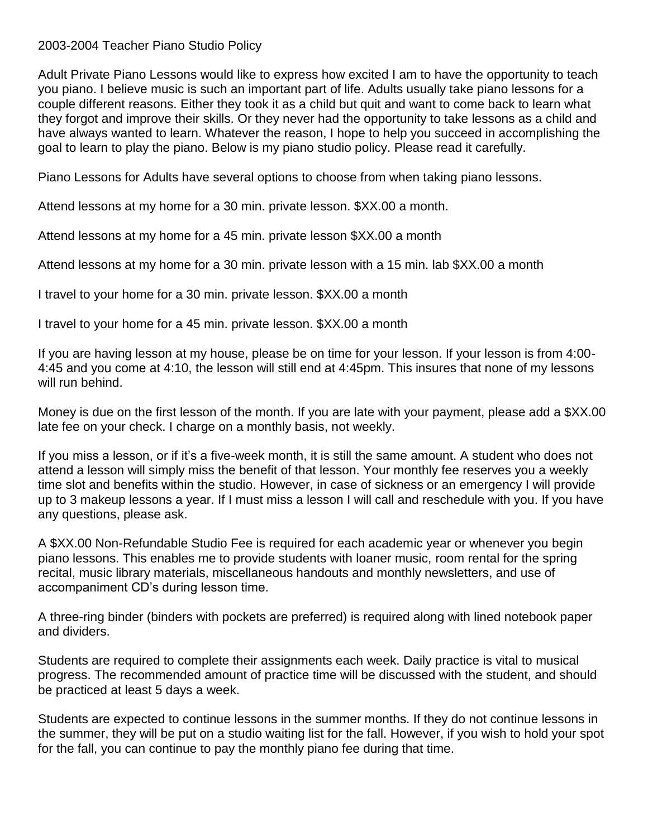## 2003-2004 Teacher Piano Studio Policy

Adult Private Piano Lessons would like to express how excited I am to have the opportunity to teach you piano. I believe music is such an important part of life. Adults usually take piano lessons for a couple different reasons. Either they took it as a child but quit and want to come back to learn what they forgot and improve their skills. Or they never had the opportunity to take lessons as a child and have always wanted to learn. Whatever the reason, I hope to help you succeed in accomplishing the goal to learn to play the piano. Below is my piano studio policy. Please read it carefully.

Piano Lessons for Adults have several options to choose from when taking piano lessons.

Attend lessons at my home for a 30 min. private lesson. \$XX.00 a month.

Attend lessons at my home for a 45 min. private lesson \$XX.00 a month

Attend lessons at my home for a 30 min. private lesson with a 15 min. lab \$XX.00 a month

I travel to your home for a 30 min. private lesson. \$XX.00 a month

I travel to your home for a 45 min. private lesson. \$XX.00 a month

If you are having lesson at my house, please be on time for your lesson. If your lesson is from 4:00- 4:45 and you come at 4:10, the lesson will still end at 4:45pm. This insures that none of my lessons will run behind.

Money is due on the first lesson of the month. If you are late with your payment, please add a \$XX.00 late fee on your check. I charge on a monthly basis, not weekly.

If you miss a lesson, or if it's a five-week month, it is still the same amount. A student who does not attend a lesson will simply miss the benefit of that lesson. Your monthly fee reserves you a weekly time slot and benefits within the studio. However, in case of sickness or an emergency I will provide up to 3 makeup lessons a year. If I must miss a lesson I will call and reschedule with you. If you have any questions, please ask.

A \$XX.00 Non-Refundable Studio Fee is required for each academic year or whenever you begin piano lessons. This enables me to provide students with loaner music, room rental for the spring recital, music library materials, miscellaneous handouts and monthly newsletters, and use of accompaniment CD's during lesson time.

A three-ring binder (binders with pockets are preferred) is required along with lined notebook paper and dividers.

Students are required to complete their assignments each week. Daily practice is vital to musical progress. The recommended amount of practice time will be discussed with the student, and should be practiced at least 5 days a week.

Students are expected to continue lessons in the summer months. If they do not continue lessons in the summer, they will be put on a studio waiting list for the fall. However, if you wish to hold your spot for the fall, you can continue to pay the monthly piano fee during that time.